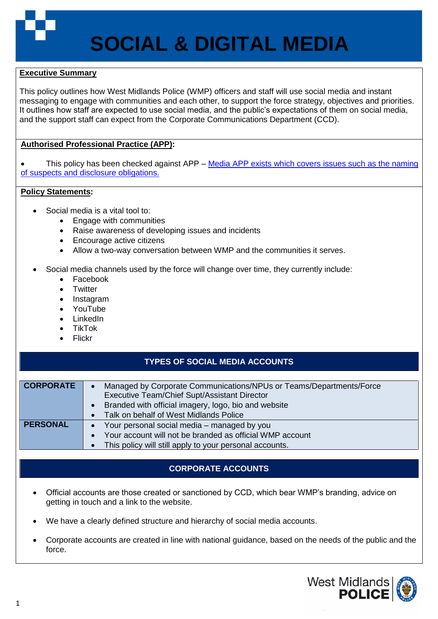

### **Executive Summary**

This policy outlines how West Midlands Police (WMP) officers and staff will use social media and instant messaging to engage with communities and each other, to support the force strategy, objectives and priorities. It outlines how staff are expected to use social media, and the public's expectations of them on social media, and the support staff can expect from the Corporate Communications Department (CCD).

## **Authorised Professional Practice (APP):**

This policy has been checked against APP – Media APP exists which covers issues such as the naming [of suspects and disclosure obligations.](https://www.app.college.police.uk/app-content/engagement-and-communication/media-relations/)

### **Policy Statements:**

- Social media is a vital tool to:
	- Engage with communities
	- Raise awareness of developing issues and incidents
	- Encourage active citizens
	- Allow a two-way conversation between WMP and the communities it serves.
- Social media channels used by the force will change over time, they currently include:
	- Facebook
	- **Twitter**
	- Instagram
	- YouTube
	- LinkedIn
	- TikTok
	- Flickr

## **TYPES OF SOCIAL MEDIA ACCOUNTS**

| <b>CORPORATE</b> | Managed by Corporate Communications/NPUs or Teams/Departments/Force |  |  |  |  |
|------------------|---------------------------------------------------------------------|--|--|--|--|
|                  | Executive Team/Chief Supt/Assistant Director                        |  |  |  |  |
|                  | Branded with official imagery, logo, bio and website                |  |  |  |  |
|                  | Talk on behalf of West Midlands Police                              |  |  |  |  |
| <b>PERSONAL</b>  | Your personal social media – managed by you                         |  |  |  |  |
|                  | Your account will not be branded as official WMP account            |  |  |  |  |
|                  | This policy will still apply to your personal accounts.             |  |  |  |  |

# **CORPORATE ACCOUNTS**

- Official accounts are those created or sanctioned by CCD, which bear WMP's branding, advice on getting in touch and a link to the website.
- We have a clearly defined structure and hierarchy of social media accounts.
- Corporate accounts are created in line with national guidance, based on the needs of the public and the force.

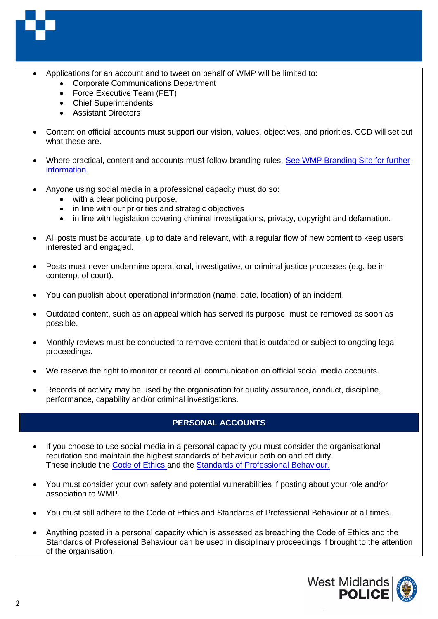

- Applications for an account and to tweet on behalf of WMP will be limited to:
	- Corporate Communications Department
	- Force Executive Team (FET)
	- Chief Superintendents
	- Assistant Directors
- Content on official accounts must support our vision, values, objectives, and priorities. CCD will set out what these are.
- Where practical, content and accounts must follow branding rules. See WMP [Branding Site for further](https://identity.west-midlands.police.uk/)  [information.](https://identity.west-midlands.police.uk/)
- Anyone using social media in a professional capacity must do so:
	- with a clear policing purpose,
	- in line with our priorities and strategic objectives
	- in line with legislation covering criminal investigations, privacy, copyright and defamation.
- All posts must be accurate, up to date and relevant, with a regular flow of new content to keep users interested and engaged.
- Posts must never undermine operational, investigative, or criminal justice processes (e.g. be in contempt of court).
- You can publish about operational information (name, date, location) of an incident.
- Outdated content, such as an appeal which has served its purpose, must be removed as soon as possible.
- Monthly reviews must be conducted to remove content that is outdated or subject to ongoing legal proceedings.
- We reserve the right to monitor or record all communication on official social media accounts.
- Records of activity may be used by the organisation for quality assurance, conduct, discipline, performance, capability and/or criminal investigations.

# **PERSONAL ACCOUNTS**

- If you choose to use social media in a personal capacity you must consider the organisational reputation and maintain the highest standards of behaviour both on and off duty. These include the [Code of Ethics](https://www.college.police.uk/ethics/code-of-ethics) and the [Standards of Professional Behaviour.](https://governance.sp.wmpad.local/Lists/Policies/DispForm.aspx?ID=54)
- You must consider your own safety and potential vulnerabilities if posting about your role and/or association to WMP.
- You must still adhere to the Code of Ethics and Standards of Professional Behaviour at all times.
- Anything posted in a personal capacity which is assessed as breaching the Code of Ethics and the Standards of Professional Behaviour can be used in disciplinary proceedings if brought to the attention of the organisation.

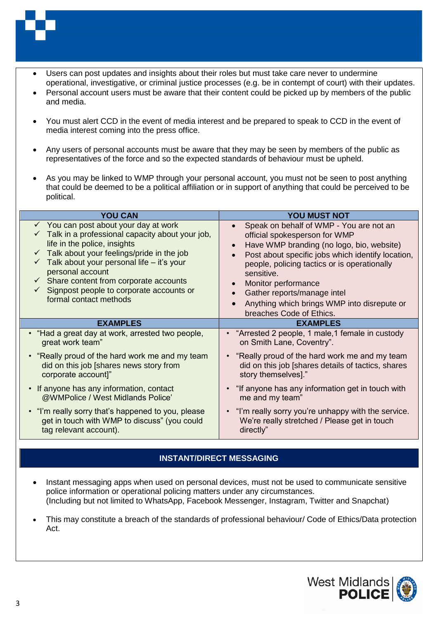

- Users can post updates and insights about their roles but must take care never to undermine operational, investigative, or criminal justice processes (e.g. be in contempt of court) with their updates.
- Personal account users must be aware that their content could be picked up by members of the public and media.
- You must alert CCD in the event of media interest and be prepared to speak to CCD in the event of media interest coming into the press office.
- Any users of personal accounts must be aware that they may be seen by members of the public as representatives of the force and so the expected standards of behaviour must be upheld.
- As you may be linked to WMP through your personal account, you must not be seen to post anything that could be deemed to be a political affiliation or in support of anything that could be perceived to be political.

| <b>YOU CAN</b>                                                                                                                                                                                                                                                                                                                                                                             | YOU MUST NOT                                                                                                                                                                                                                                                                                                                                                              |  |
|--------------------------------------------------------------------------------------------------------------------------------------------------------------------------------------------------------------------------------------------------------------------------------------------------------------------------------------------------------------------------------------------|---------------------------------------------------------------------------------------------------------------------------------------------------------------------------------------------------------------------------------------------------------------------------------------------------------------------------------------------------------------------------|--|
| $\checkmark$ You can post about your day at work<br>Talk in a professional capacity about your job,<br>life in the police, insights<br>$\checkmark$ Talk about your feelings/pride in the job<br>Talk about your personal life - it's your<br>personal account<br>$\checkmark$ Share content from corporate accounts<br>Signpost people to corporate accounts or<br>formal contact methods | Speak on behalf of WMP - You are not an<br>official spokesperson for WMP<br>Have WMP branding (no logo, bio, website)<br>Post about specific jobs which identify location,<br>people, policing tactics or is operationally<br>sensitive.<br>Monitor performance<br>Gather reports/manage intel<br>Anything which brings WMP into disrepute or<br>breaches Code of Ethics. |  |
| <b>EXAMPLES</b>                                                                                                                                                                                                                                                                                                                                                                            | <b>EXAMPLES</b>                                                                                                                                                                                                                                                                                                                                                           |  |
| • "Had a great day at work, arrested two people,                                                                                                                                                                                                                                                                                                                                           | • "Arrested 2 people, 1 male, 1 female in custody                                                                                                                                                                                                                                                                                                                         |  |
| great work team"                                                                                                                                                                                                                                                                                                                                                                           | on Smith Lane, Coventry".                                                                                                                                                                                                                                                                                                                                                 |  |
| • "Really proud of the hard work me and my team                                                                                                                                                                                                                                                                                                                                            | "Really proud of the hard work me and my team                                                                                                                                                                                                                                                                                                                             |  |
| did on this job [shares news story from                                                                                                                                                                                                                                                                                                                                                    | did on this job [shares details of tactics, shares                                                                                                                                                                                                                                                                                                                        |  |
| corporate account]"                                                                                                                                                                                                                                                                                                                                                                        | story themselves]."                                                                                                                                                                                                                                                                                                                                                       |  |
| • If anyone has any information, contact                                                                                                                                                                                                                                                                                                                                                   | "If anyone has any information get in touch with                                                                                                                                                                                                                                                                                                                          |  |
| @WMPolice / West Midlands Police'                                                                                                                                                                                                                                                                                                                                                          | me and my team"                                                                                                                                                                                                                                                                                                                                                           |  |
| • "I'm really sorry that's happened to you, please                                                                                                                                                                                                                                                                                                                                         | • "I'm really sorry you're unhappy with the service.                                                                                                                                                                                                                                                                                                                      |  |
| get in touch with WMP to discuss" (you could                                                                                                                                                                                                                                                                                                                                               | We're really stretched / Please get in touch                                                                                                                                                                                                                                                                                                                              |  |
| tag relevant account).                                                                                                                                                                                                                                                                                                                                                                     | directly"                                                                                                                                                                                                                                                                                                                                                                 |  |

### **INSTANT/DIRECT MESSAGING**

- Instant messaging apps when used on personal devices, must not be used to communicate sensitive police information or operational policing matters under any circumstances. (Including but not limited to WhatsApp, Facebook Messenger, Instagram, Twitter and Snapchat)
- This may constitute a breach of the standards of professional behaviour/ Code of Ethics/Data protection Act.

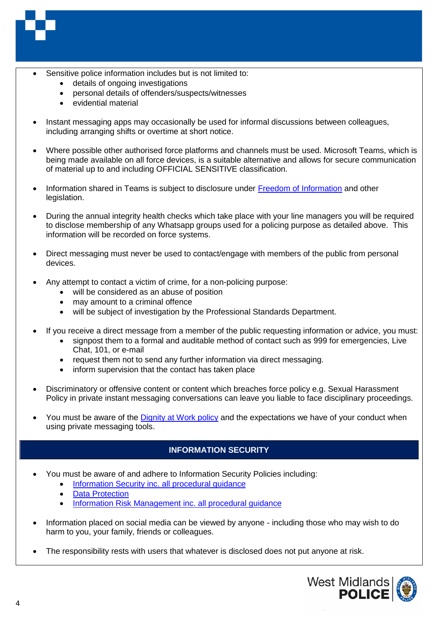

- Sensitive police information includes but is not limited to:
	- details of ongoing investigations
	- personal details of offenders/suspects/witnesses
	- evidential material
- Instant messaging apps may occasionally be used for informal discussions between colleagues, including arranging shifts or overtime at short notice.
- Where possible other authorised force platforms and channels must be used. Microsoft Teams, which is being made available on all force devices, is a suitable alternative and allows for secure communication of material up to and including OFFICIAL SENSITIVE classification.
- Information shared in Teams is subject to disclosure under [Freedom of Information](https://governance.sp.wmpad.local/Lists/Policies/DispForm.aspx?ID=16) and other legislation.
- During the annual integrity health checks which take place with your line managers you will be required to disclose membership of any Whatsapp groups used for a policing purpose as detailed above. This information will be recorded on force systems.
- Direct messaging must never be used to contact/engage with members of the public from personal devices.
- Any attempt to contact a victim of crime, for a non-policing purpose:
	- will be considered as an abuse of position
	- may amount to a criminal offence
	- will be subject of investigation by the Professional Standards Department.
- If you receive a direct message from a member of the public requesting information or advice, you must:
	- signpost them to a formal and auditable method of contact such as 999 for emergencies, Live Chat, 101, or e-mail
	- request them not to send any further information via direct messaging.
	- inform supervision that the contact has taken place
- Discriminatory or offensive content or content which breaches force policy e.g. Sexual Harassment Policy in private instant messaging conversations can leave you liable to face disciplinary proceedings.
- You must be aware of the [Dignity at Work policy](https://governance.sp.wmpad.local/Lists/Policies/DispForm.aspx?ID=144) and the expectations we have of your conduct when using private messaging tools.

# **INFORMATION SECURITY**

- You must be aware of and adhere to Information Security Policies including:
	- [Information Security inc. all procedural guidance](https://governance.sp.wmpad.local/Lists/Policies/DispForm.aspx?ID=48)
	- **[Data Protection](https://www.app.college.police.uk/app-content/information-management/data-protection/)**
	- [Information Risk Management](https://governance.sp.wmpad.local/Lists/Policies/DispForm.aspx?ID=62) inc. all procedural guidance
- Information placed on social media can be viewed by anyone including those who may wish to do harm to you, your family, friends or colleagues.
- The responsibility rests with users that whatever is disclosed does not put anyone at risk.

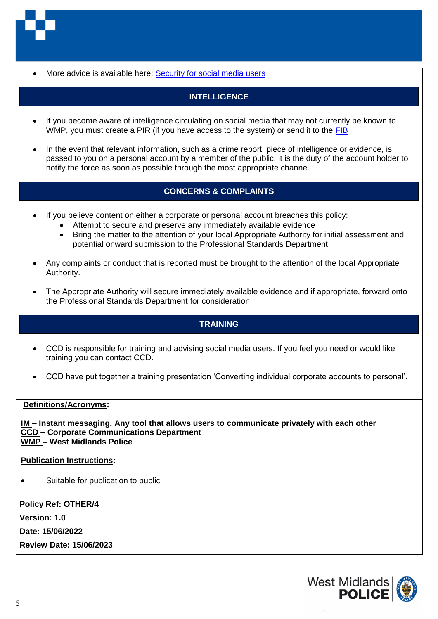

• More advice is available here: [Security for social media users](http://intranet2/force_operations/security_is_key/social_media.aspx)

# **INTELLIGENCE**

- If you become aware of intelligence circulating on social media that may not currently be known to WMP, you must create a PIR (if you have access to the system) or send it to the [FIB](http://intranet2/functions/intelligence/contact_us/mission_support/force_intelligence_bureau.aspx)
- In the event that relevant information, such as a crime report, piece of intelligence or evidence, is passed to you on a personal account by a member of the public, it is the duty of the account holder to notify the force as soon as possible through the most appropriate channel.

## **CONCERNS & COMPLAINTS**

- If you believe content on either a corporate or personal account breaches this policy:
	- Attempt to secure and preserve any immediately available evidence
	- Bring the matter to the attention of your local Appropriate Authority for initial assessment and potential onward submission to the Professional Standards Department.
- Any complaints or conduct that is reported must be brought to the attention of the local Appropriate Authority.
- The Appropriate Authority will secure immediately available evidence and if appropriate, forward onto the Professional Standards Department for consideration.

## **TRAINING**

- CCD is responsible for training and advising social media users. If you feel you need or would like training you can contact CCD.
- CCD have put together a training presentation 'Converting individual corporate accounts to personal'.

#### **Definitions/Acronyms:**

**IM – Instant messaging. Any tool that allows users to communicate privately with each other CCD – Corporate Communications Department WMP – West Midlands Police**

#### **Publication Instructions:**

• Suitable for publication to public

**Policy Ref: OTHER/4 Version: 1.0 Date: 15/06/2022 Review Date: 15/06/2023**